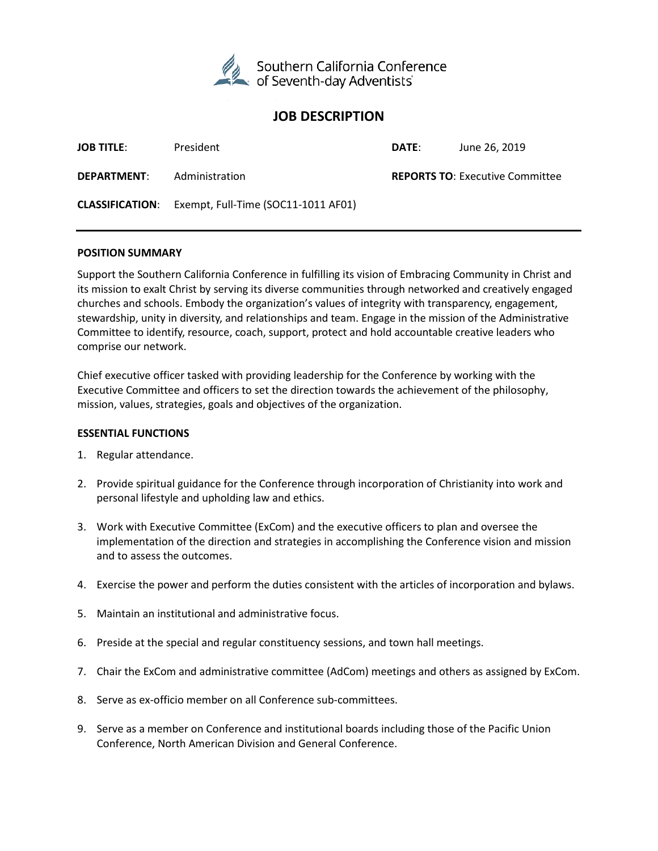

# **JOB DESCRIPTION**

| <b>JOB TITLE:</b>  | President                                                  | DATE: | June 26, 2019                          |
|--------------------|------------------------------------------------------------|-------|----------------------------------------|
| <b>DEPARTMENT:</b> | Administration                                             |       | <b>REPORTS TO: Executive Committee</b> |
|                    | <b>CLASSIFICATION:</b> Exempt, Full-Time (SOC11-1011 AF01) |       |                                        |

#### **POSITION SUMMARY**

Support the Southern California Conference in fulfilling its vision of Embracing Community in Christ and its mission to exalt Christ by serving its diverse communities through networked and creatively engaged churches and schools. Embody the organization's values of integrity with transparency, engagement, stewardship, unity in diversity, and relationships and team. Engage in the mission of the Administrative Committee to identify, resource, coach, support, protect and hold accountable creative leaders who comprise our network.

Chief executive officer tasked with providing leadership for the Conference by working with the Executive Committee and officers to set the direction towards the achievement of the philosophy, mission, values, strategies, goals and objectives of the organization.

#### **ESSENTIAL FUNCTIONS**

- 1. Regular attendance.
- 2. Provide spiritual guidance for the Conference through incorporation of Christianity into work and personal lifestyle and upholding law and ethics.
- 3. Work with Executive Committee (ExCom) and the executive officers to plan and oversee the implementation of the direction and strategies in accomplishing the Conference vision and mission and to assess the outcomes.
- 4. Exercise the power and perform the duties consistent with the articles of incorporation and bylaws.
- 5. Maintain an institutional and administrative focus.
- 6. Preside at the special and regular constituency sessions, and town hall meetings.
- 7. Chair the ExCom and administrative committee (AdCom) meetings and others as assigned by ExCom.
- 8. Serve as ex-officio member on all Conference sub-committees.
- 9. Serve as a member on Conference and institutional boards including those of the Pacific Union Conference, North American Division and General Conference.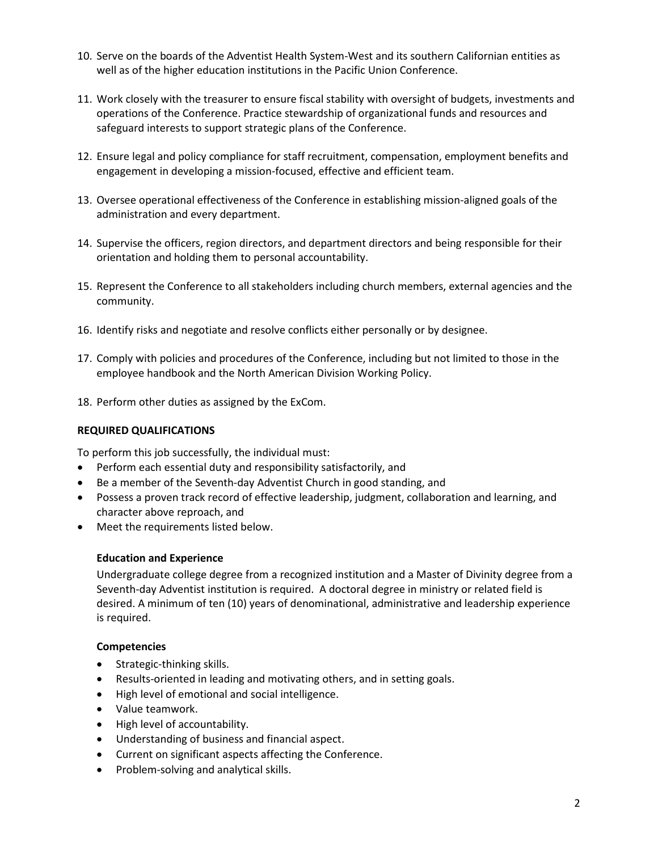- 10. Serve on the boards of the Adventist Health System-West and its southern Californian entities as well as of the higher education institutions in the Pacific Union Conference.
- 11. Work closely with the treasurer to ensure fiscal stability with oversight of budgets, investments and operations of the Conference. Practice stewardship of organizational funds and resources and safeguard interests to support strategic plans of the Conference.
- 12. Ensure legal and policy compliance for staff recruitment, compensation, employment benefits and engagement in developing a mission-focused, effective and efficient team.
- 13. Oversee operational effectiveness of the Conference in establishing mission-aligned goals of the administration and every department.
- 14. Supervise the officers, region directors, and department directors and being responsible for their orientation and holding them to personal accountability.
- 15. Represent the Conference to all stakeholders including church members, external agencies and the community.
- 16. Identify risks and negotiate and resolve conflicts either personally or by designee.
- 17. Comply with policies and procedures of the Conference, including but not limited to those in the employee handbook and the North American Division Working Policy.
- 18. Perform other duties as assigned by the ExCom.

# **REQUIRED QUALIFICATIONS**

To perform this job successfully, the individual must:

- Perform each essential duty and responsibility satisfactorily, and
- Be a member of the Seventh-day Adventist Church in good standing, and
- Possess a proven track record of effective leadership, judgment, collaboration and learning, and character above reproach, and
- Meet the requirements listed below.

# **Education and Experience**

Undergraduate college degree from a recognized institution and a Master of Divinity degree from a Seventh-day Adventist institution is required. A doctoral degree in ministry or related field is desired. A minimum of ten (10) years of denominational, administrative and leadership experience is required.

# **Competencies**

- Strategic-thinking skills.
- Results-oriented in leading and motivating others, and in setting goals.
- High level of emotional and social intelligence.
- Value teamwork.
- High level of accountability.
- Understanding of business and financial aspect.
- Current on significant aspects affecting the Conference.
- Problem-solving and analytical skills.